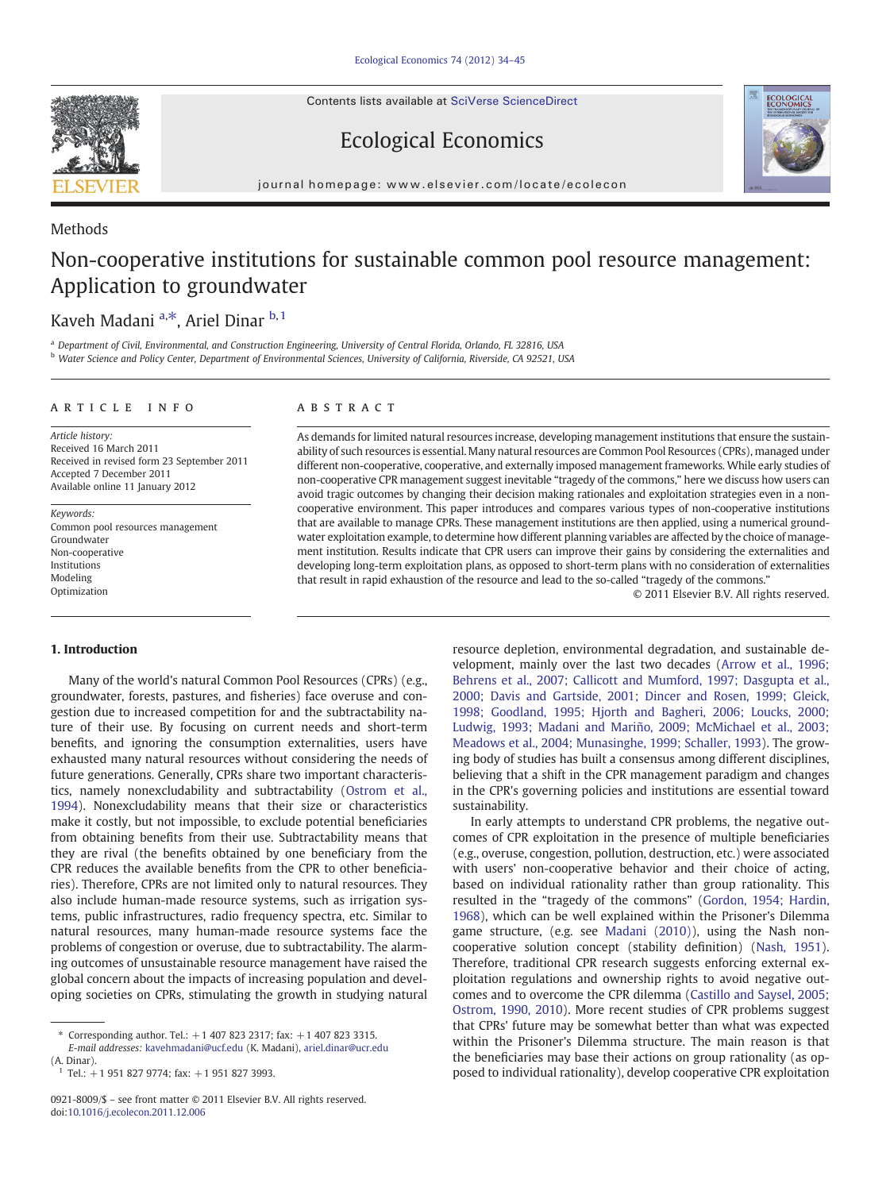Contents lists available at SciVerse ScienceDirect



Methods

Ecological Economics



journal homepage: www.elsevier.com/locate/ecolecon

# Non-cooperative institutions for sustainable common pool resource management: Application to groundwater

## Kaveh Madani <sup>a,\*</sup>, Ariel Dinar <sup>b, 1</sup>

a Department of Civil, Environmental, and Construction Engineering, University of Central Florida, Orlando, FL 32816, USA

<sup>b</sup> Water Science and Policy Center, Department of Environmental Sciences, University of California, Riverside, CA 92521, USA

#### ARTICLE INFO ABSTRACT

Article history: Received 16 March 2011 Received in revised form 23 September 2011 Accepted 7 December 2011 Available online 11 January 2012

Keywords: Common pool resources management Groundwater Non-cooperative Institutions Modeling Optimization

As demands for limited natural resources increase, developing management institutions that ensure the sustainability of such resources is essential. Many natural resources are Common Pool Resources (CPRs), managed under different non-cooperative, cooperative, and externally imposed management frameworks. While early studies of non-cooperative CPR management suggest inevitable "tragedy of the commons," here we discuss how users can avoid tragic outcomes by changing their decision making rationales and exploitation strategies even in a noncooperative environment. This paper introduces and compares various types of non-cooperative institutions that are available to manage CPRs. These management institutions are then applied, using a numerical groundwater exploitation example, to determine how different planning variables are affected by the choice of management institution. Results indicate that CPR users can improve their gains by considering the externalities and developing long-term exploitation plans, as opposed to short-term plans with no consideration of externalities that result in rapid exhaustion of the resource and lead to the so-called "tragedy of the commons."

© 2011 Elsevier B.V. All rights reserved.

#### 1. Introduction

Many of the world's natural Common Pool Resources (CPRs) (e.g., groundwater, forests, pastures, and fisheries) face overuse and congestion due to increased competition for and the subtractability nature of their use. By focusing on current needs and short-term benefits, and ignoring the consumption externalities, users have exhausted many natural resources without considering the needs of future generations. Generally, CPRs share two important characteristics, namely nonexcludability and subtractability ([Ostrom et al.,](#page-11-0) [1994\)](#page-11-0). Nonexcludability means that their size or characteristics make it costly, but not impossible, to exclude potential beneficiaries from obtaining benefits from their use. Subtractability means that they are rival (the benefits obtained by one beneficiary from the CPR reduces the available benefits from the CPR to other beneficiaries). Therefore, CPRs are not limited only to natural resources. They also include human-made resource systems, such as irrigation systems, public infrastructures, radio frequency spectra, etc. Similar to natural resources, many human-made resource systems face the problems of congestion or overuse, due to subtractability. The alarming outcomes of unsustainable resource management have raised the global concern about the impacts of increasing population and developing societies on CPRs, stimulating the growth in studying natural

resource depletion, environmental degradation, and sustainable development, mainly over the last two decades ([Arrow et al., 1996;](#page-11-0) [Behrens et al., 2007; Callicott and Mumford, 1997; Dasgupta et al.,](#page-11-0) [2000; Davis and Gartside, 2001; Dincer and Rosen, 1999; Gleick,](#page-11-0) [1998; Goodland, 1995; Hjorth and Bagheri, 2006; Loucks, 2000;](#page-11-0) [Ludwig, 1993; Madani and Mariño, 2009; McMichael et al., 2003;](#page-11-0) [Meadows et al., 2004; Munasinghe, 1999; Schaller, 1993](#page-11-0)). The growing body of studies has built a consensus among different disciplines, believing that a shift in the CPR management paradigm and changes in the CPR's governing policies and institutions are essential toward sustainability.

In early attempts to understand CPR problems, the negative outcomes of CPR exploitation in the presence of multiple beneficiaries (e.g., overuse, congestion, pollution, destruction, etc.) were associated with users' non-cooperative behavior and their choice of acting, based on individual rationality rather than group rationality. This resulted in the "tragedy of the commons" ([Gordon, 1954; Hardin,](#page-11-0) [1968\)](#page-11-0), which can be well explained within the Prisoner's Dilemma game structure, (e.g. see [Madani \(2010\)\)](#page-11-0), using the Nash noncooperative solution concept (stability definition) ([Nash, 1951](#page-11-0)). Therefore, traditional CPR research suggests enforcing external exploitation regulations and ownership rights to avoid negative outcomes and to overcome the CPR dilemma [\(Castillo and Saysel, 2005;](#page-11-0) [Ostrom, 1990, 2010](#page-11-0)). More recent studies of CPR problems suggest that CPRs' future may be somewhat better than what was expected within the Prisoner's Dilemma structure. The main reason is that the beneficiaries may base their actions on group rationality (as opposed to individual rationality), develop cooperative CPR exploitation

<sup>⁎</sup> Corresponding author. Tel.: +1 407 823 2317; fax: +1 407 823 3315. E-mail addresses: [kavehmadani@ucf.edu](mailto:kavehmadani@ucf.edu) (K. Madani), [ariel.dinar@ucr.edu](mailto:ariel.dinar@ucr.edu)

<sup>(</sup>A. Dinar).

Tel.:  $+1$  951 827 9774; fax:  $+1$  951 827 3993.

<sup>0921-8009/\$</sup> – see front matter © 2011 Elsevier B.V. All rights reserved. doi[:10.1016/j.ecolecon.2011.12.006](http://dx.doi.org/10.1016/j.ecolecon.2011.12.006)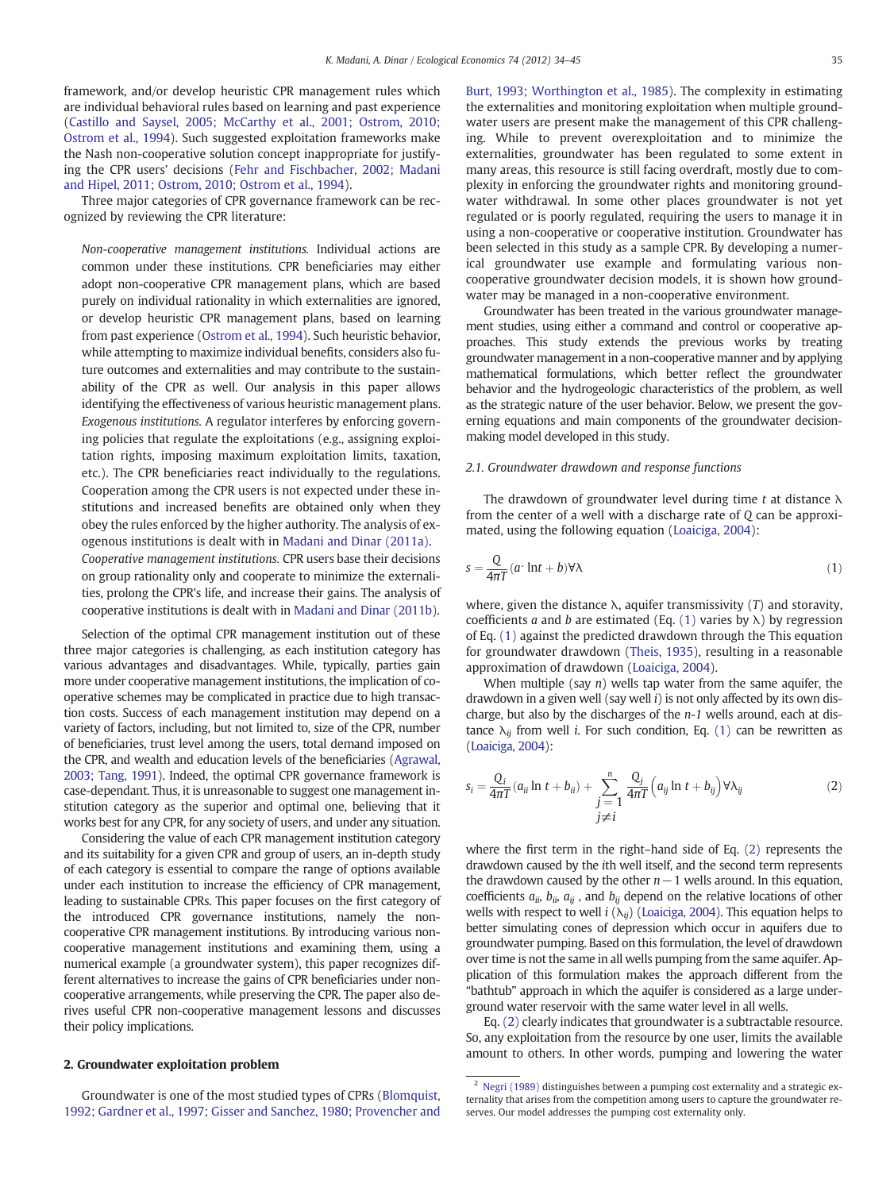<span id="page-1-0"></span>framework, and/or develop heuristic CPR management rules which are individual behavioral rules based on learning and past experience [\(Castillo and Saysel, 2005; McCarthy et al., 2001; Ostrom, 2010;](#page-11-0) [Ostrom et al., 1994](#page-11-0)). Such suggested exploitation frameworks make the Nash non-cooperative solution concept inappropriate for justifying the CPR users' decisions [\(Fehr and Fischbacher, 2002; Madani](#page-11-0) [and Hipel, 2011; Ostrom, 2010; Ostrom et al., 1994](#page-11-0)).

Three major categories of CPR governance framework can be recognized by reviewing the CPR literature:

Non-cooperative management institutions. Individual actions are common under these institutions. CPR beneficiaries may either adopt non-cooperative CPR management plans, which are based purely on individual rationality in which externalities are ignored, or develop heuristic CPR management plans, based on learning from past experience ([Ostrom et al., 1994\)](#page-11-0). Such heuristic behavior, while attempting to maximize individual benefits, considers also future outcomes and externalities and may contribute to the sustainability of the CPR as well. Our analysis in this paper allows identifying the effectiveness of various heuristic management plans. Exogenous institutions. A regulator interferes by enforcing governing policies that regulate the exploitations (e.g., assigning exploitation rights, imposing maximum exploitation limits, taxation, etc.). The CPR beneficiaries react individually to the regulations. Cooperation among the CPR users is not expected under these institutions and increased benefits are obtained only when they obey the rules enforced by the higher authority. The analysis of exogenous institutions is dealt with in [Madani and Dinar \(2011a\).](http://wspc.ucr.edu/working_papers/WSPC_WP_01-0311%20regulatory%20inst.pdf) Cooperative management institutions. CPR users base their decisions on group rationality only and cooperate to minimize the externalities, prolong the CPR's life, and increase their gains. The analysis of cooperative institutions is dealt with in [Madani and Dinar \(2011b\)](http://wspc.ucr.edu/working_papers/WSPC_WP_02_0311%20coop%20inst%20com%20pool.pdf).

Selection of the optimal CPR management institution out of these three major categories is challenging, as each institution category has various advantages and disadvantages. While, typically, parties gain more under cooperative management institutions, the implication of cooperative schemes may be complicated in practice due to high transaction costs. Success of each management institution may depend on a variety of factors, including, but not limited to, size of the CPR, number of beneficiaries, trust level among the users, total demand imposed on the CPR, and wealth and education levels of the beneficiaries ([Agrawal,](#page-11-0) [2003; Tang, 1991\)](#page-11-0). Indeed, the optimal CPR governance framework is case-dependant. Thus, it is unreasonable to suggest one management institution category as the superior and optimal one, believing that it works best for any CPR, for any society of users, and under any situation.

Considering the value of each CPR management institution category and its suitability for a given CPR and group of users, an in-depth study of each category is essential to compare the range of options available under each institution to increase the efficiency of CPR management, leading to sustainable CPRs. This paper focuses on the first category of the introduced CPR governance institutions, namely the noncooperative CPR management institutions. By introducing various noncooperative management institutions and examining them, using a numerical example (a groundwater system), this paper recognizes different alternatives to increase the gains of CPR beneficiaries under noncooperative arrangements, while preserving the CPR. The paper also derives useful CPR non-cooperative management lessons and discusses their policy implications.

#### 2. Groundwater exploitation problem

Groundwater is one of the most studied types of CPRs ([Blomquist,](#page-11-0) [1992; Gardner et al., 1997; Gisser and Sanchez, 1980; Provencher and](#page-11-0) [Burt, 1993; Worthington et al., 1985](#page-11-0)). The complexity in estimating the externalities and monitoring exploitation when multiple groundwater users are present make the management of this CPR challenging. While to prevent overexploitation and to minimize the externalities, groundwater has been regulated to some extent in many areas, this resource is still facing overdraft, mostly due to complexity in enforcing the groundwater rights and monitoring groundwater withdrawal. In some other places groundwater is not yet regulated or is poorly regulated, requiring the users to manage it in using a non-cooperative or cooperative institution. Groundwater has been selected in this study as a sample CPR. By developing a numerical groundwater use example and formulating various noncooperative groundwater decision models, it is shown how groundwater may be managed in a non-cooperative environment.

Groundwater has been treated in the various groundwater management studies, using either a command and control or cooperative approaches. This study extends the previous works by treating groundwater management in a non-cooperative manner and by applying mathematical formulations, which better reflect the groundwater behavior and the hydrogeologic characteristics of the problem, as well as the strategic nature of the user behavior. Below, we present the governing equations and main components of the groundwater decisionmaking model developed in this study.

#### 2.1. Groundwater drawdown and response functions

The drawdown of groundwater level during time t at distance  $\lambda$ from the center of a well with a discharge rate of Q can be approximated, using the following equation ([Loaiciga, 2004](#page-11-0)):

$$
s = \frac{Q}{4\pi T} (a \cdot \ln t + b) \forall \lambda
$$
 (1)

where, given the distance  $\lambda$ , aquifer transmissivity (T) and storavity, coefficients *a* and *b* are estimated (Eq. (1) varies by  $\lambda$ ) by regression of Eq. (1) against the predicted drawdown through the This equation for groundwater drawdown ([Theis, 1935\)](#page-11-0), resulting in a reasonable approximation of drawdown ([Loaiciga, 2004](#page-11-0)).

When multiple (say  $n$ ) wells tap water from the same aquifer, the drawdown in a given well (say well  $i$ ) is not only affected by its own discharge, but also by the discharges of the  $n-1$  wells around, each at distance  $\lambda_{ii}$  from well *i*. For such condition, Eq. (1) can be rewritten as [\(Loaiciga, 2004\)](#page-11-0):

$$
s_i = \frac{Q_i}{4\pi T} (a_{ii} \ln t + b_{ii}) + \sum_{\substack{j=1 \ j \neq i}}^n \frac{Q_j}{4\pi T} \left( a_{ij} \ln t + b_{ij} \right) \forall \lambda_{ij}
$$
 (2)

where the first term in the right–hand side of Eq. (2) represents the drawdown caused by the ith well itself, and the second term represents the drawdown caused by the other  $n-1$  wells around. In this equation, coefficients  $a_{ii}$ ,  $b_{ii}$ ,  $a_{ii}$ , and  $b_{ii}$  depend on the relative locations of other wells with respect to well  $i$  ( $\lambda_{ij}$ ) ([Loaiciga, 2004\)](#page-11-0). This equation helps to better simulating cones of depression which occur in aquifers due to groundwater pumping. Based on this formulation, the level of drawdown over time is not the same in all wells pumping from the same aquifer. Application of this formulation makes the approach different from the "bathtub" approach in which the aquifer is considered as a large underground water reservoir with the same water level in all wells.

Eq. (2) clearly indicates that groundwater is a subtractable resource. So, any exploitation from the resource by one user, limits the available amount to others. In other words, pumping and lowering the water

 $^{2}$  [Negri \(1989\)](#page-11-0) distinguishes between a pumping cost externality and a strategic externality that arises from the competition among users to capture the groundwater reserves. Our model addresses the pumping cost externality only.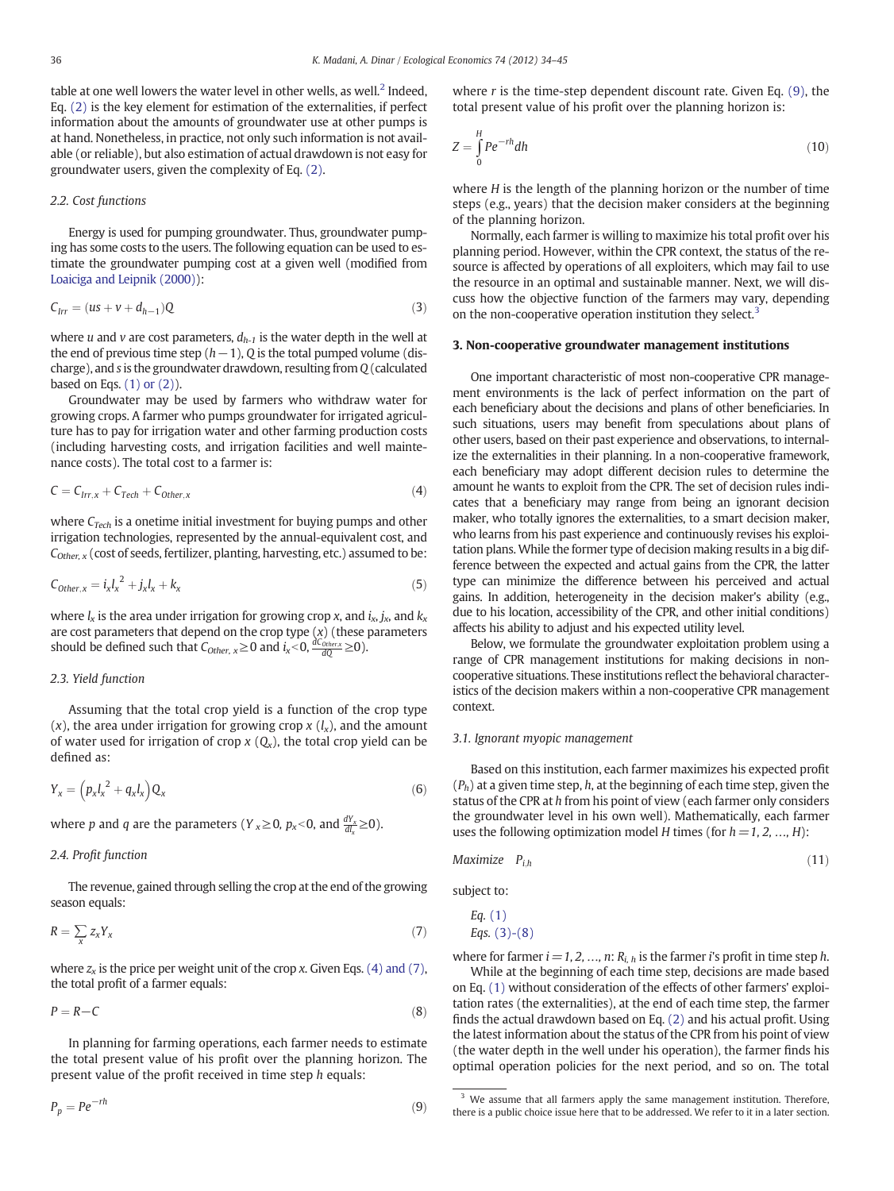<span id="page-2-0"></span>table at one well lowers the water level in other wells, as well. $<sup>2</sup>$  Indeed,</sup> Eq. [\(2\)](#page-1-0) is the key element for estimation of the externalities, if perfect information about the amounts of groundwater use at other pumps is at hand. Nonetheless, in practice, not only such information is not available (or reliable), but also estimation of actual drawdown is not easy for groundwater users, given the complexity of Eq. [\(2\).](#page-1-0)

#### 2.2. Cost functions

Energy is used for pumping groundwater. Thus, groundwater pumping has some costs to the users. The following equation can be used to estimate the groundwater pumping cost at a given well (modified from [Loaiciga and Leipnik \(2000\)](#page-11-0)):

$$
C_{\text{Irr}} = (us + v + d_{h-1})Q \tag{3}
$$

where u and v are cost parameters,  $d_{h-1}$  is the water depth in the well at the end of previous time step  $(h-1)$ , Q is the total pumped volume (discharge), and s is the groundwater drawdown, resulting from Q(calculated based on Eqs.  $(1)$  or  $(2)$ ).

Groundwater may be used by farmers who withdraw water for growing crops. A farmer who pumps groundwater for irrigated agriculture has to pay for irrigation water and other farming production costs (including harvesting costs, and irrigation facilities and well maintenance costs). The total cost to a farmer is:

$$
C = C_{Irr,x} + C_{Tech} + C_{Other,x}
$$
\n<sup>(4)</sup>

where  $C_{Tech}$  is a onetime initial investment for buying pumps and other irrigation technologies, represented by the annual-equivalent cost, and  $C_{Other x}$  (cost of seeds, fertilizer, planting, harvesting, etc.) assumed to be:

$$
C_{Other,x} = i_x l_x^2 + j_x l_x + k_x \tag{5}
$$

where  $l_x$  is the area under irrigation for growing crop x, and  $i_x$ ,  $j_x$ , and  $k_x$ are cost parameters that depend on the crop type  $\chi$ ) (these parameters<br>should be defined such that C<sub>Other, x</sub>≥0 and i<sub>x</sub><0,  $\frac{dC_{\rm{other}}}{dQ}$ ≥0).

#### 2.3. Yield function

Assuming that the total crop yield is a function of the crop type  $(x)$ , the area under irrigation for growing crop  $x$   $(l_x)$ , and the amount of water used for irrigation of crop  $x$  ( $Q_x$ ), the total crop yield can be defined as:

$$
Y_x = \left(p_x l_x^2 + q_x l_x\right) Q_x \tag{6}
$$

where p and q are the parameters (Y<sub>x</sub> ≥0, p<sub>x</sub><0, and  $\frac{dY_x}{dl_x}$  ≥0).

#### 2.4. Profit function

The revenue, gained through selling the crop at the end of the growing season equals:

$$
R = \sum_{x} z_{x} Y_{x} \tag{7}
$$

where  $z_x$  is the price per weight unit of the crop x. Given Eqs. (4) and (7), the total profit of a farmer equals:

$$
P = R - C \tag{8}
$$

In planning for farming operations, each farmer needs to estimate the total present value of his profit over the planning horizon. The present value of the profit received in time step h equals:

$$
P_p = Pe^{-rh} \tag{9}
$$

where  $r$  is the time-step dependent discount rate. Given Eq.  $(9)$ , the total present value of his profit over the planning horizon is:

$$
Z = \int_{0}^{H} Pe^{-rh} dh \tag{10}
$$

where H is the length of the planning horizon or the number of time steps (e.g., years) that the decision maker considers at the beginning of the planning horizon.

Normally, each farmer is willing to maximize his total profit over his planning period. However, within the CPR context, the status of the resource is affected by operations of all exploiters, which may fail to use the resource in an optimal and sustainable manner. Next, we will discuss how the objective function of the farmers may vary, depending on the non-cooperative operation institution they select.<sup>3</sup>

#### 3. Non-cooperative groundwater management institutions

One important characteristic of most non-cooperative CPR management environments is the lack of perfect information on the part of each beneficiary about the decisions and plans of other beneficiaries. In such situations, users may benefit from speculations about plans of other users, based on their past experience and observations, to internalize the externalities in their planning. In a non-cooperative framework, each beneficiary may adopt different decision rules to determine the amount he wants to exploit from the CPR. The set of decision rules indicates that a beneficiary may range from being an ignorant decision maker, who totally ignores the externalities, to a smart decision maker, who learns from his past experience and continuously revises his exploitation plans. While the former type of decision making results in a big difference between the expected and actual gains from the CPR, the latter type can minimize the difference between his perceived and actual gains. In addition, heterogeneity in the decision maker's ability (e.g., due to his location, accessibility of the CPR, and other initial conditions) affects his ability to adjust and his expected utility level.

Below, we formulate the groundwater exploitation problem using a range of CPR management institutions for making decisions in noncooperative situations. These institutions reflect the behavioral characteristics of the decision makers within a non-cooperative CPR management context.

#### 3.1. Ignorant myopic management

Based on this institution, each farmer maximizes his expected profit  $(P_h)$  at a given time step, h, at the beginning of each time step, given the status of the CPR at h from his point of view (each farmer only considers the groundwater level in his own well). Mathematically, each farmer uses the following optimization model H times (for  $h=1, 2, ..., H$ ):

$$
Maximize \t P_{i,h} \t\t(11)
$$

subject to:

*Eq.* 
$$
(1)
$$
  
*Eqs.*  $(3)-(8)$ 

where for farmer  $i=1, 2, ..., n$ :  $R_{i,h}$  is the farmer *i*'s profit in time step h.

While at the beginning of each time step, decisions are made based on Eq. [\(1\)](#page-1-0) without consideration of the effects of other farmers' exploitation rates (the externalities), at the end of each time step, the farmer finds the actual drawdown based on Eq. [\(2\)](#page-1-0) and his actual profit. Using the latest information about the status of the CPR from his point of view (the water depth in the well under his operation), the farmer finds his optimal operation policies for the next period, and so on. The total

<sup>&</sup>lt;sup>3</sup> We assume that all farmers apply the same management institution. Therefore, there is a public choice issue here that to be addressed. We refer to it in a later section.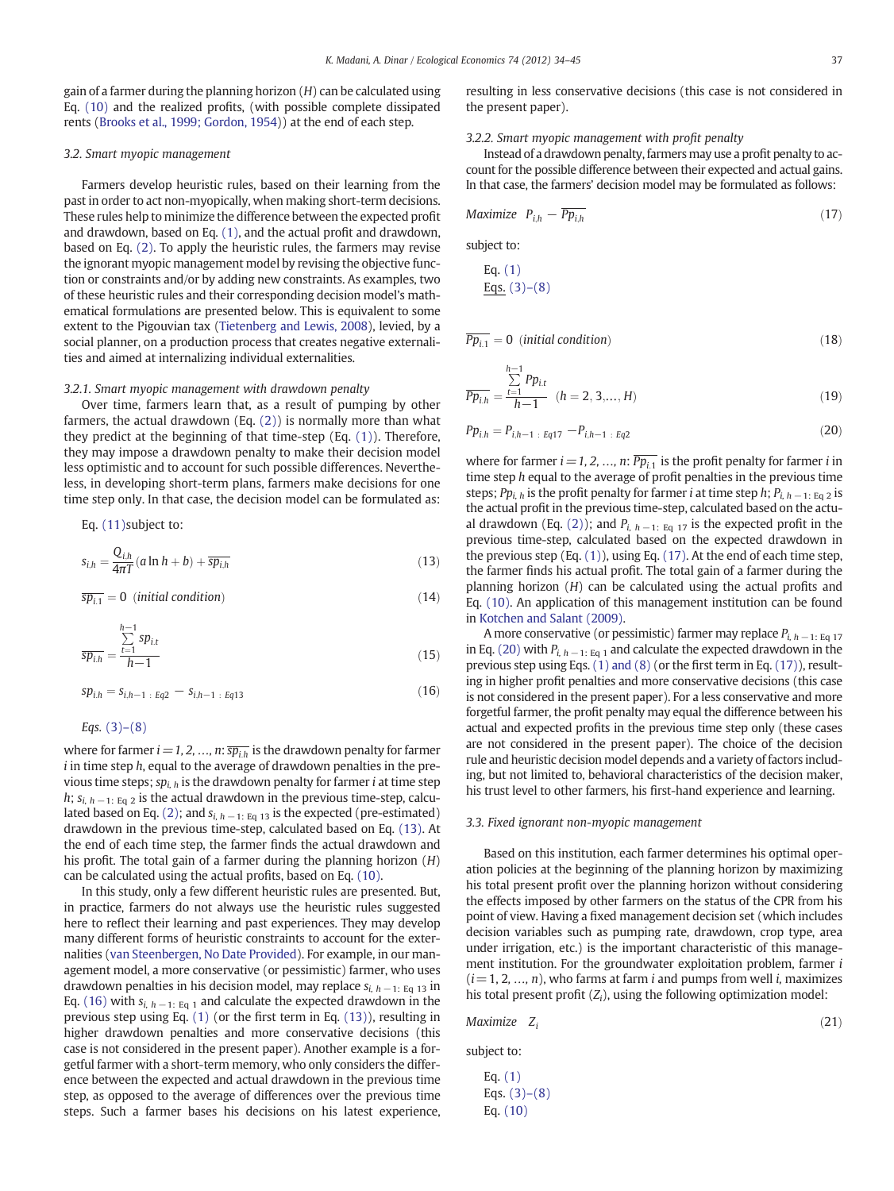gain of a farmer during the planning horizon  $(H)$  can be calculated using Eq. [\(10\)](#page-2-0) and the realized profits, (with possible complete dissipated rents [\(Brooks et al., 1999; Gordon, 1954](#page-11-0))) at the end of each step.

#### 3.2. Smart myopic management

Farmers develop heuristic rules, based on their learning from the past in order to act non-myopically, when making short-term decisions. These rules help to minimize the difference between the expected profit and drawdown, based on Eq. [\(1\),](#page-1-0) and the actual profit and drawdown, based on Eq. [\(2\)](#page-1-0). To apply the heuristic rules, the farmers may revise the ignorant myopic management model by revising the objective function or constraints and/or by adding new constraints. As examples, two of these heuristic rules and their corresponding decision model's mathematical formulations are presented below. This is equivalent to some extent to the Pigouvian tax [\(Tietenberg and Lewis, 2008\)](#page-11-0), levied, by a social planner, on a production process that creates negative externalities and aimed at internalizing individual externalities.

#### 3.2.1. Smart myopic management with drawdown penalty

Over time, farmers learn that, as a result of pumping by other farmers, the actual drawdown (Eq. [\(2\)](#page-1-0)) is normally more than what they predict at the beginning of that time-step (Eq. [\(1\)](#page-1-0)). Therefore, they may impose a drawdown penalty to make their decision model less optimistic and to account for such possible differences. Nevertheless, in developing short-term plans, farmers make decisions for one time step only. In that case, the decision model can be formulated as:

Eq. [\(11\)s](#page-2-0)ubject to:

$$
s_{i,h} = \frac{Q_{i,h}}{4\pi T} (a \ln h + b) + \overline{sp_{i,h}}
$$
\n(13)

$$
\overline{sp_{i,1}} = 0 \quad (initial condition)
$$
 (14)

$$
\frac{\sum\limits_{t=1}^{h-1} sp_{i,t}}{h-1}
$$
 (15)

$$
sp_{i,h} = s_{i,h-1 \; : \; Eq2} \; - \; s_{i,h-1 \; : \; Eq13} \tag{16}
$$

Eqs. 
$$
(3)-(8)
$$

where for farmer  $i=1, 2, ..., n$ :  $\overline{sp_{i,h}}$  is the drawdown penalty for farmer  $i$  in time step  $h$ , equal to the average of drawdown penalties in the previous time steps;  $sp_{i,h}$  is the drawdown penalty for farmer *i* at time step h;  $s_{i, h-1: Eq 2}$  is the actual drawdown in the previous time-step, calcu-lated based on Eq. [\(2\)](#page-1-0); and  $s_{i, h-1: Eq. 13}$  is the expected (pre-estimated) drawdown in the previous time-step, calculated based on Eq. (13). At the end of each time step, the farmer finds the actual drawdown and his profit. The total gain of a farmer during the planning horizon (H) can be calculated using the actual profits, based on Eq. [\(10\).](#page-2-0)

In this study, only a few different heuristic rules are presented. But, in practice, farmers do not always use the heuristic rules suggested here to reflect their learning and past experiences. They may develop many different forms of heuristic constraints to account for the externalities [\(van Steenbergen, No Date Provided\)](#page-11-0). For example, in our management model, a more conservative (or pessimistic) farmer, who uses drawdown penalties in his decision model, may replace  $s_{i, h-1: Eq 13}$  in Eq. (16) with  $s_{i, h-1: Eq}$  and calculate the expected drawdown in the previous step using Eq. [\(1\)](#page-1-0) (or the first term in Eq. (13)), resulting in higher drawdown penalties and more conservative decisions (this case is not considered in the present paper). Another example is a forgetful farmer with a short-term memory, who only considers the difference between the expected and actual drawdown in the previous time step, as opposed to the average of differences over the previous time steps. Such a farmer bases his decisions on his latest experience, resulting in less conservative decisions (this case is not considered in the present paper).

#### 3.2.2. Smart myopic management with profit penalty

Instead of a drawdown penalty, farmers may use a profit penalty to account for the possible difference between their expected and actual gains. In that case, the farmers' decision model may be formulated as follows:

$$
Maximize \t P_{i,h} - P p_{i,h} \t\t(17)
$$

subject to:

Eq. 
$$
(1)
$$
  
Eqs.  $(3)-(8)$ 

$$
\overline{P p_{i.1}} = 0 \quad (initial condition)
$$
 (18)

$$
\frac{\sum\limits_{t=1}^{h-1} P p_{i,t}}{h-1} \quad (h = 2, 3, \dots, H)
$$
\n(19)

$$
P p_{i,h} = P_{i,h-1 \; : \; Eq17} \; -P_{i,h-1 \; : \; Eq2} \tag{20}
$$

where for farmer  $i=1, 2, ..., n$ :  $\overline{P p_{i,1}}$  is the profit penalty for farmer *i* in time step h equal to the average of profit penalties in the previous time steps;  $Pp_{i,h}$  is the profit penalty for farmer *i* at time step h;  $P_{i,h-1:Eq}$  *z* is the actual profit in the previous time-step, calculated based on the actu-al drawdown (Eq. [\(2\)\)](#page-1-0); and  $P_{i, h-1: Eq. 17}$  is the expected profit in the previous time-step, calculated based on the expected drawdown in the previous step (Eq. [\(1\)\)](#page-1-0), using Eq. (17). At the end of each time step, the farmer finds his actual profit. The total gain of a farmer during the planning horizon (H) can be calculated using the actual profits and Eq. [\(10\).](#page-2-0) An application of this management institution can be found in [Kotchen and Salant \(2009\)](#page-11-0).

A more conservative (or pessimistic) farmer may replace  $P_{i, h-1: Eq 17}$ in Eq. (20) with  $P_{i, h-1: Eq}$  and calculate the expected drawdown in the previous step using Eqs. [\(1\) and \(8\)](#page-1-0) (or the first term in Eq. (17)), resulting in higher profit penalties and more conservative decisions (this case is not considered in the present paper). For a less conservative and more forgetful farmer, the profit penalty may equal the difference between his actual and expected profits in the previous time step only (these cases are not considered in the present paper). The choice of the decision rule and heuristic decision model depends and a variety of factors including, but not limited to, behavioral characteristics of the decision maker, his trust level to other farmers, his first-hand experience and learning.

#### 3.3. Fixed ignorant non-myopic management

Based on this institution, each farmer determines his optimal operation policies at the beginning of the planning horizon by maximizing his total present profit over the planning horizon without considering the effects imposed by other farmers on the status of the CPR from his point of view. Having a fixed management decision set (which includes decision variables such as pumping rate, drawdown, crop type, area under irrigation, etc.) is the important characteristic of this management institution. For the groundwater exploitation problem, farmer i  $(i=1, 2, ..., n)$ , who farms at farm *i* and pumps from well *i*, maximizes his total present profit  $(Z_i)$ , using the following optimization model:

Maximize  $Z_i$  (21)

subject to:

Eq. 
$$
(1)
$$
  
Eqs.  $(3)-(8)$   
Eq.  $(10)$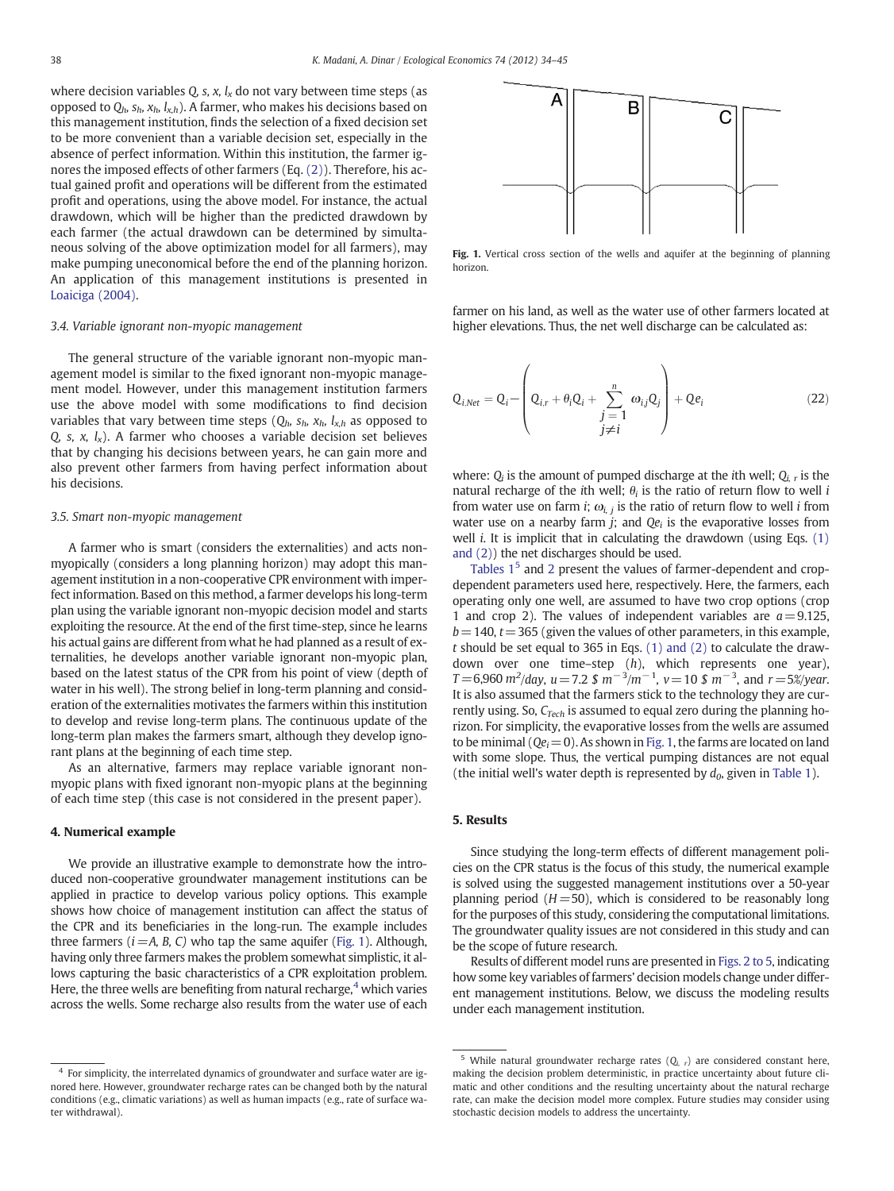where decision variables Q, s, x,  $l_x$  do not vary between time steps (as opposed to  $Q_h$ ,  $s_h$ ,  $x_h$ ,  $l_{x,h}$ ). A farmer, who makes his decisions based on this management institution, finds the selection of a fixed decision set to be more convenient than a variable decision set, especially in the absence of perfect information. Within this institution, the farmer ignores the imposed effects of other farmers (Eq. [\(2\)](#page-1-0)). Therefore, his actual gained profit and operations will be different from the estimated profit and operations, using the above model. For instance, the actual drawdown, which will be higher than the predicted drawdown by each farmer (the actual drawdown can be determined by simultaneous solving of the above optimization model for all farmers), may make pumping uneconomical before the end of the planning horizon. An application of this management institutions is presented in [Loaiciga \(2004\).](#page-11-0)

#### 3.4. Variable ignorant non-myopic management

The general structure of the variable ignorant non-myopic management model is similar to the fixed ignorant non-myopic management model. However, under this management institution farmers use the above model with some modifications to find decision variables that vary between time steps  $(Q_h, s_h, x_h, l_{x,h})$  as opposed to Q, s, x,  $l_x$ ). A farmer who chooses a variable decision set believes that by changing his decisions between years, he can gain more and also prevent other farmers from having perfect information about his decisions.

#### 3.5. Smart non-myopic management

A farmer who is smart (considers the externalities) and acts nonmyopically (considers a long planning horizon) may adopt this management institution in a non-cooperative CPR environment with imperfect information. Based on this method, a farmer develops his long-term plan using the variable ignorant non-myopic decision model and starts exploiting the resource. At the end of the first time-step, since he learns his actual gains are different from what he had planned as a result of externalities, he develops another variable ignorant non-myopic plan, based on the latest status of the CPR from his point of view (depth of water in his well). The strong belief in long-term planning and consideration of the externalities motivates the farmers within this institution to develop and revise long-term plans. The continuous update of the long-term plan makes the farmers smart, although they develop ignorant plans at the beginning of each time step.

As an alternative, farmers may replace variable ignorant nonmyopic plans with fixed ignorant non-myopic plans at the beginning of each time step (this case is not considered in the present paper).

#### 4. Numerical example

We provide an illustrative example to demonstrate how the introduced non-cooperative groundwater management institutions can be applied in practice to develop various policy options. This example shows how choice of management institution can affect the status of the CPR and its beneficiaries in the long-run. The example includes three farmers ( $i = A$ , B, C) who tap the same aquifer (Fig. 1). Although, having only three farmers makes the problem somewhat simplistic, it allows capturing the basic characteristics of a CPR exploitation problem. Here, the three wells are benefiting from natural recharge, $4$  which varies across the wells. Some recharge also results from the water use of each



Fig. 1. Vertical cross section of the wells and aquifer at the beginning of planning horizon.

farmer on his land, as well as the water use of other farmers located at higher elevations. Thus, the net well discharge can be calculated as:

$$
Q_{i,Net} = Q_i - \left(Q_{i,r} + \theta_i Q_i + \sum_{\substack{j=1 \ j \neq i}}^n \omega_{ij} Q_j\right) + Qe_i
$$
 (22)

where:  $Q_i$  is the amount of pumped discharge at the *i*th well;  $Q_i$ , *i* is the natural recharge of the ith well;  $\theta_i$  is the ratio of return flow to well i from water use on farm *i*;  $\omega_{i,j}$  is the ratio of return flow to well *i* from water use on a nearby farm  $j$ ; and  $Qe_i$  is the evaporative losses from well *i*. It is implicit that in calculating the drawdown (using Eqs.  $(1)$ ) [and \(2\)](#page-1-0)) the net discharges should be used.

Tables  $1<sup>5</sup>$  and [2](#page-5-0) present the values of farmer-dependent and cropdependent parameters used here, respectively. Here, the farmers, each operating only one well, are assumed to have two crop options (crop 1 and crop 2). The values of independent variables are  $a = 9.125$ ,  $b=140$ ,  $t=365$  (given the values of other parameters, in this example,  $t$  should be set equal to 365 in Eqs. [\(1\) and \(2\)](#page-1-0) to calculate the drawdown over one time–step (h), which represents one year), T=6,960 m<sup>2</sup>/day, u=7.2 \$ m<sup>-3</sup>/m<sup>-1</sup>, v=10 \$ m<sup>-3</sup>, and r=5%/year. It is also assumed that the farmers stick to the technology they are currently using. So,  $C_{Tech}$  is assumed to equal zero during the planning horizon. For simplicity, the evaporative losses from the wells are assumed to be minimal ( $Qe_i=0$ ). As shown in Fig. 1, the farms are located on land with some slope. Thus, the vertical pumping distances are not equal (the initial well's water depth is represented by  $d_0$ , given in [Table 1\)](#page-5-0).

#### 5. Results

Since studying the long-term effects of different management policies on the CPR status is the focus of this study, the numerical example is solved using the suggested management institutions over a 50-year planning period  $(H=50)$ , which is considered to be reasonably long for the purposes of this study, considering the computational limitations. The groundwater quality issues are not considered in this study and can be the scope of future research.

Results of different model runs are presented in [Figs. 2 to 5,](#page-6-0) indicating how some key variables of farmers' decision models change under different management institutions. Below, we discuss the modeling results under each management institution.

<sup>4</sup> For simplicity, the interrelated dynamics of groundwater and surface water are ignored here. However, groundwater recharge rates can be changed both by the natural conditions (e.g., climatic variations) as well as human impacts (e.g., rate of surface water withdrawal).

<sup>&</sup>lt;sup>5</sup> While natural groundwater recharge rates  $(Q_{i,r})$  are considered constant here, making the decision problem deterministic, in practice uncertainty about future climatic and other conditions and the resulting uncertainty about the natural recharge rate, can make the decision model more complex. Future studies may consider using stochastic decision models to address the uncertainty.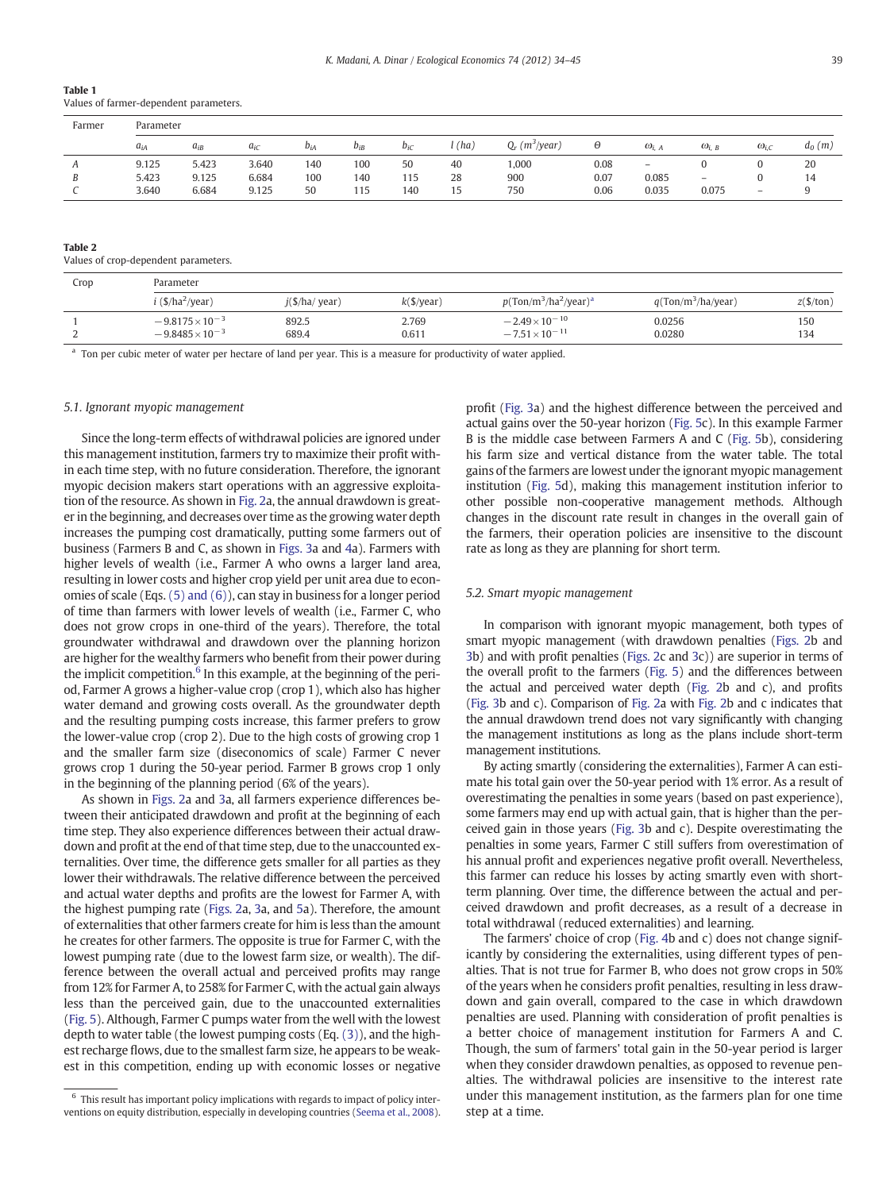<span id="page-5-0"></span>

| Table 1                                |  |
|----------------------------------------|--|
| Values of farmer-dependent parameters. |  |

| Parameter<br>Farmer |          |          |          |          |          |          |     |                  |      |                          |                 |                          |          |
|---------------------|----------|----------|----------|----------|----------|----------|-----|------------------|------|--------------------------|-----------------|--------------------------|----------|
|                     | $a_{iA}$ | $a_{iB}$ | $a_{iC}$ | $D_{iA}$ | $D_{iB}$ | $D_{iC}$ | (ha | $Q_r(m^3$ /year) | Θ    | $\omega_{i, A}$          | $\omega_{i, B}$ | $\omega_{i,C}$           | $d_0(m)$ |
|                     | 9.125    | 5.423    | 3.640    | 140      | 100      | 50       | 40  | 000,             | 0.08 | $\overline{\phantom{0}}$ |                 |                          | 20       |
|                     | 5.423    | 9.125    | 6.684    | 100      | 140      | 115      | 28  | 900              | 0.07 | 0.085                    |                 |                          | 14       |
|                     | 3.640    | 6.684    | 9.125    | 50       | 115      | 140      |     | 750              | 0.06 | 0.035                    | 0.075           | $\overline{\phantom{0}}$ |          |

#### Table 2

Values of crop-dependent parameters.

| Crop | Parameter                    |                               |           |                          |                                   |              |  |  |  |  |  |  |
|------|------------------------------|-------------------------------|-----------|--------------------------|-----------------------------------|--------------|--|--|--|--|--|--|
|      | i (\$/ha <sup>2</sup> /year) | $j(\frac{\xi}{\ln \sqrt{2}})$ | k(S/year) | $p(Ton/m^3/ha^2/year)^a$ | $q$ (Ton/m <sup>3</sup> /ha/year) | $z$ (\$/ton) |  |  |  |  |  |  |
|      | $-9.8175\times10^{-3}$       | 892.5                         | 2.769     | $-2.49\times10^{-10}$    | 0.0256                            | 150          |  |  |  |  |  |  |
|      | $-9.8485\times10^{-3}$       | 689.4                         | 0.611     | $-7.51 \times 10^{-11}$  | 0.0280                            | 134          |  |  |  |  |  |  |
|      |                              |                               |           |                          |                                   |              |  |  |  |  |  |  |

<sup>a</sup> Ton per cubic meter of water per hectare of land per year. This is a measure for productivity of water applied.

#### 5.1. Ignorant myopic management

Since the long-term effects of withdrawal policies are ignored under this management institution, farmers try to maximize their profit within each time step, with no future consideration. Therefore, the ignorant myopic decision makers start operations with an aggressive exploitation of the resource. As shown in [Fig. 2](#page-6-0)a, the annual drawdown is greater in the beginning, and decreases over time as the growing water depth increases the pumping cost dramatically, putting some farmers out of business (Farmers B and C, as shown in [Figs. 3](#page-7-0)a and [4a](#page-8-0)). Farmers with higher levels of wealth (i.e., Farmer A who owns a larger land area, resulting in lower costs and higher crop yield per unit area due to economies of scale (Eqs. [\(5\) and \(6\)](#page-2-0)), can stay in business for a longer period of time than farmers with lower levels of wealth (i.e., Farmer C, who does not grow crops in one-third of the years). Therefore, the total groundwater withdrawal and drawdown over the planning horizon are higher for the wealthy farmers who benefit from their power during the implicit competition. $<sup>6</sup>$  In this example, at the beginning of the peri-</sup> od, Farmer A grows a higher-value crop (crop 1), which also has higher water demand and growing costs overall. As the groundwater depth and the resulting pumping costs increase, this farmer prefers to grow the lower-value crop (crop 2). Due to the high costs of growing crop 1 and the smaller farm size (diseconomics of scale) Farmer C never grows crop 1 during the 50-year period. Farmer B grows crop 1 only in the beginning of the planning period (6% of the years).

As shown in [Figs. 2a](#page-6-0) and [3](#page-7-0)a, all farmers experience differences between their anticipated drawdown and profit at the beginning of each time step. They also experience differences between their actual drawdown and profit at the end of that time step, due to the unaccounted externalities. Over time, the difference gets smaller for all parties as they lower their withdrawals. The relative difference between the perceived and actual water depths and profits are the lowest for Farmer A, with the highest pumping rate [\(Figs. 2](#page-6-0)a, [3a](#page-7-0), and [5](#page-9-0)a). Therefore, the amount of externalities that other farmers create for him is less than the amount he creates for other farmers. The opposite is true for Farmer C, with the lowest pumping rate (due to the lowest farm size, or wealth). The difference between the overall actual and perceived profits may range from 12% for Farmer A, to 258% for Farmer C, with the actual gain always less than the perceived gain, due to the unaccounted externalities [\(Fig. 5](#page-9-0)). Although, Farmer C pumps water from the well with the lowest depth to water table (the lowest pumping costs (Eq. [\(3\)](#page-2-0)), and the highest recharge flows, due to the smallest farm size, he appears to be weakest in this competition, ending up with economic losses or negative

profit [\(Fig. 3a](#page-7-0)) and the highest difference between the perceived and actual gains over the 50-year horizon [\(Fig. 5c](#page-9-0)). In this example Farmer B is the middle case between Farmers A and C [\(Fig. 5b](#page-9-0)), considering his farm size and vertical distance from the water table. The total gains of the farmers are lowest under the ignorant myopic management institution [\(Fig. 5](#page-9-0)d), making this management institution inferior to other possible non-cooperative management methods. Although changes in the discount rate result in changes in the overall gain of the farmers, their operation policies are insensitive to the discount rate as long as they are planning for short term.

#### 5.2. Smart myopic management

In comparison with ignorant myopic management, both types of smart myopic management (with drawdown penalties [\(Figs. 2](#page-6-0)b and [3b](#page-7-0)) and with profit penalties [\(Figs. 2c](#page-6-0) and [3c](#page-7-0))) are superior in terms of the overall profit to the farmers [\(Fig. 5](#page-9-0)) and the differences between the actual and perceived water depth [\(Fig. 2b](#page-6-0) and c), and profits [\(Fig. 3b](#page-7-0) and c). Comparison of [Fig. 2a](#page-6-0) with [Fig. 2](#page-6-0)b and c indicates that the annual drawdown trend does not vary significantly with changing the management institutions as long as the plans include short-term management institutions.

By acting smartly (considering the externalities), Farmer A can estimate his total gain over the 50-year period with 1% error. As a result of overestimating the penalties in some years (based on past experience), some farmers may end up with actual gain, that is higher than the perceived gain in those years [\(Fig. 3b](#page-7-0) and c). Despite overestimating the penalties in some years, Farmer C still suffers from overestimation of his annual profit and experiences negative profit overall. Nevertheless, this farmer can reduce his losses by acting smartly even with shortterm planning. Over time, the difference between the actual and perceived drawdown and profit decreases, as a result of a decrease in total withdrawal (reduced externalities) and learning.

The farmers' choice of crop [\(Fig. 4](#page-8-0)b and c) does not change significantly by considering the externalities, using different types of penalties. That is not true for Farmer B, who does not grow crops in 50% of the years when he considers profit penalties, resulting in less drawdown and gain overall, compared to the case in which drawdown penalties are used. Planning with consideration of profit penalties is a better choice of management institution for Farmers A and C. Though, the sum of farmers' total gain in the 50-year period is larger when they consider drawdown penalties, as opposed to revenue penalties. The withdrawal policies are insensitive to the interest rate under this management institution, as the farmers plan for one time step at a time.

 $6$  This result has important policy implications with regards to impact of policy interventions on equity distribution, especially in developing countries [\(Seema et al., 2008](#page-11-0)).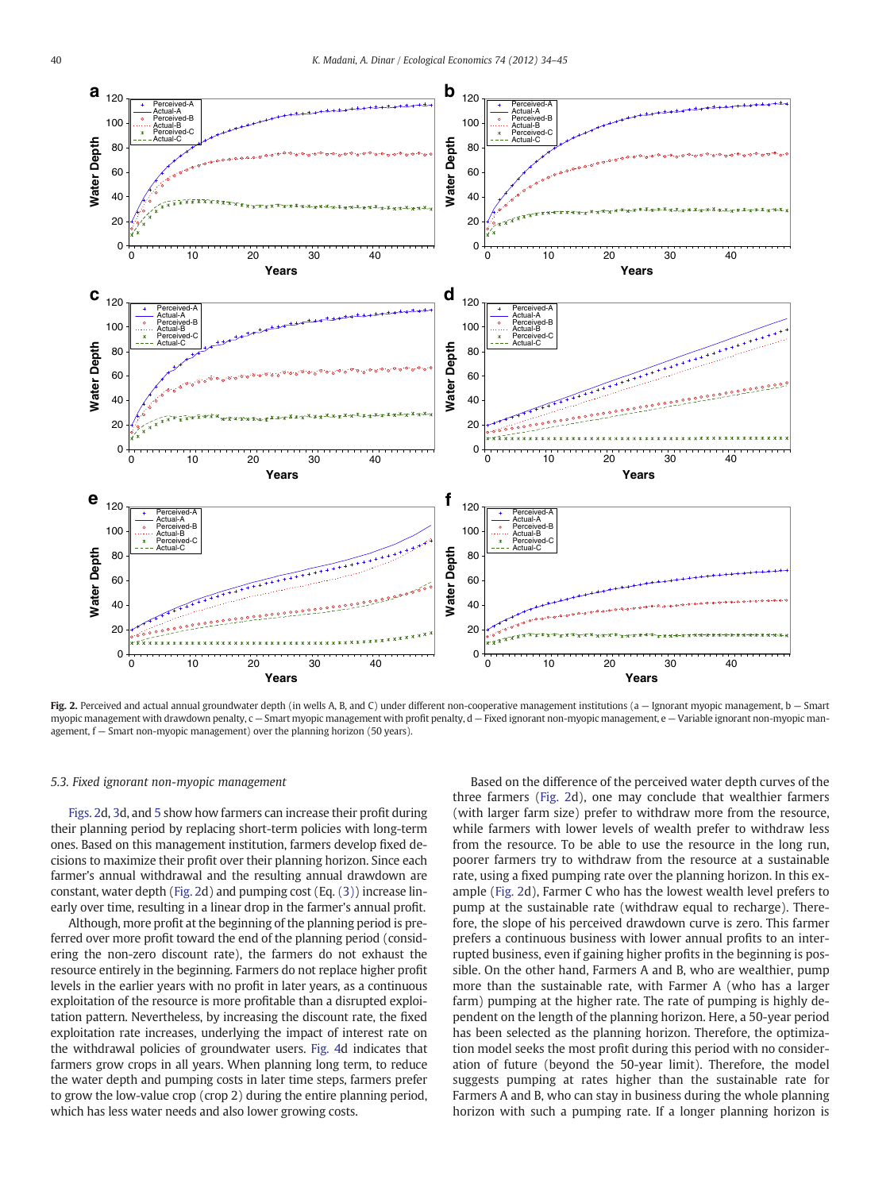<span id="page-6-0"></span>

Fig. 2. Perceived and actual annual groundwater depth (in wells A, B, and C) under different non-cooperative management institutions (a - Ignorant myopic management, b - Smart myopic management with drawdown penalty, c - Smart myopic management with profit penalty, d - Fixed ignorant non-myopic management, e - Variable ignorant non-myopic management, f — Smart non-myopic management) over the planning horizon (50 years).

#### 5.3. Fixed ignorant non-myopic management

Figs. 2d, [3d](#page-7-0), and [5](#page-9-0) show how farmers can increase their profit during their planning period by replacing short-term policies with long-term ones. Based on this management institution, farmers develop fixed decisions to maximize their profit over their planning horizon. Since each farmer's annual withdrawal and the resulting annual drawdown are constant, water depth (Fig. 2d) and pumping cost (Eq. [\(3\)](#page-2-0)) increase linearly over time, resulting in a linear drop in the farmer's annual profit.

Although, more profit at the beginning of the planning period is preferred over more profit toward the end of the planning period (considering the non-zero discount rate), the farmers do not exhaust the resource entirely in the beginning. Farmers do not replace higher profit levels in the earlier years with no profit in later years, as a continuous exploitation of the resource is more profitable than a disrupted exploitation pattern. Nevertheless, by increasing the discount rate, the fixed exploitation rate increases, underlying the impact of interest rate on the withdrawal policies of groundwater users. [Fig. 4](#page-8-0)d indicates that farmers grow crops in all years. When planning long term, to reduce the water depth and pumping costs in later time steps, farmers prefer to grow the low-value crop (crop 2) during the entire planning period, which has less water needs and also lower growing costs.

Based on the difference of the perceived water depth curves of the three farmers (Fig. 2d), one may conclude that wealthier farmers (with larger farm size) prefer to withdraw more from the resource, while farmers with lower levels of wealth prefer to withdraw less from the resource. To be able to use the resource in the long run, poorer farmers try to withdraw from the resource at a sustainable rate, using a fixed pumping rate over the planning horizon. In this example (Fig. 2d), Farmer C who has the lowest wealth level prefers to pump at the sustainable rate (withdraw equal to recharge). Therefore, the slope of his perceived drawdown curve is zero. This farmer prefers a continuous business with lower annual profits to an interrupted business, even if gaining higher profits in the beginning is possible. On the other hand, Farmers A and B, who are wealthier, pump more than the sustainable rate, with Farmer A (who has a larger farm) pumping at the higher rate. The rate of pumping is highly dependent on the length of the planning horizon. Here, a 50-year period has been selected as the planning horizon. Therefore, the optimization model seeks the most profit during this period with no consideration of future (beyond the 50-year limit). Therefore, the model suggests pumping at rates higher than the sustainable rate for Farmers A and B, who can stay in business during the whole planning horizon with such a pumping rate. If a longer planning horizon is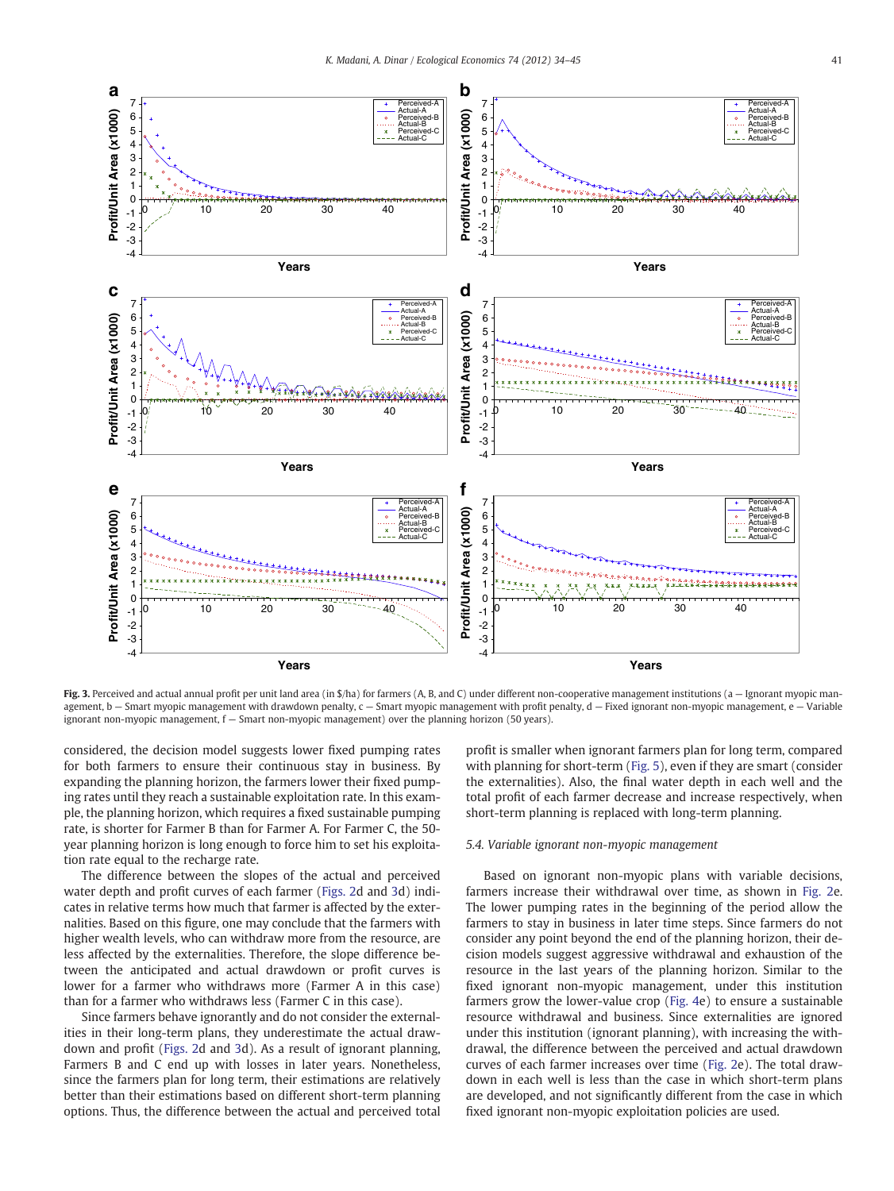<span id="page-7-0"></span>

Fig. 3. Perceived and actual annual profit per unit land area (in  $\frac{s}{h}$ ) for farmers (A, B, and C) under different non-cooperative management institutions (a - Ignorant myopic management, b - Smart myopic management with drawdown penalty, c - Smart myopic management with profit penalty, d - Fixed ignorant non-myopic management, e - Variable ignorant non-myopic management, f - Smart non-myopic management) over the planning horizon (50 years).

considered, the decision model suggests lower fixed pumping rates for both farmers to ensure their continuous stay in business. By expanding the planning horizon, the farmers lower their fixed pumping rates until they reach a sustainable exploitation rate. In this example, the planning horizon, which requires a fixed sustainable pumping rate, is shorter for Farmer B than for Farmer A. For Farmer C, the 50 year planning horizon is long enough to force him to set his exploitation rate equal to the recharge rate.

The difference between the slopes of the actual and perceived water depth and profit curves of each farmer [\(Figs. 2](#page-6-0)d and 3d) indicates in relative terms how much that farmer is affected by the externalities. Based on this figure, one may conclude that the farmers with higher wealth levels, who can withdraw more from the resource, are less affected by the externalities. Therefore, the slope difference between the anticipated and actual drawdown or profit curves is lower for a farmer who withdraws more (Farmer A in this case) than for a farmer who withdraws less (Farmer C in this case).

Since farmers behave ignorantly and do not consider the externalities in their long-term plans, they underestimate the actual drawdown and profit [\(Figs. 2](#page-6-0)d and 3d). As a result of ignorant planning, Farmers B and C end up with losses in later years. Nonetheless, since the farmers plan for long term, their estimations are relatively better than their estimations based on different short-term planning options. Thus, the difference between the actual and perceived total profit is smaller when ignorant farmers plan for long term, compared with planning for short-term ([Fig. 5](#page-9-0)), even if they are smart (consider the externalities). Also, the final water depth in each well and the total profit of each farmer decrease and increase respectively, when short-term planning is replaced with long-term planning.

### 5.4. Variable ignorant non-myopic management

Based on ignorant non-myopic plans with variable decisions, farmers increase their withdrawal over time, as shown in [Fig. 2e](#page-6-0). The lower pumping rates in the beginning of the period allow the farmers to stay in business in later time steps. Since farmers do not consider any point beyond the end of the planning horizon, their decision models suggest aggressive withdrawal and exhaustion of the resource in the last years of the planning horizon. Similar to the fixed ignorant non-myopic management, under this institution farmers grow the lower-value crop [\(Fig. 4](#page-8-0)e) to ensure a sustainable resource withdrawal and business. Since externalities are ignored under this institution (ignorant planning), with increasing the withdrawal, the difference between the perceived and actual drawdown curves of each farmer increases over time ([Fig. 2e](#page-6-0)). The total drawdown in each well is less than the case in which short-term plans are developed, and not significantly different from the case in which fixed ignorant non-myopic exploitation policies are used.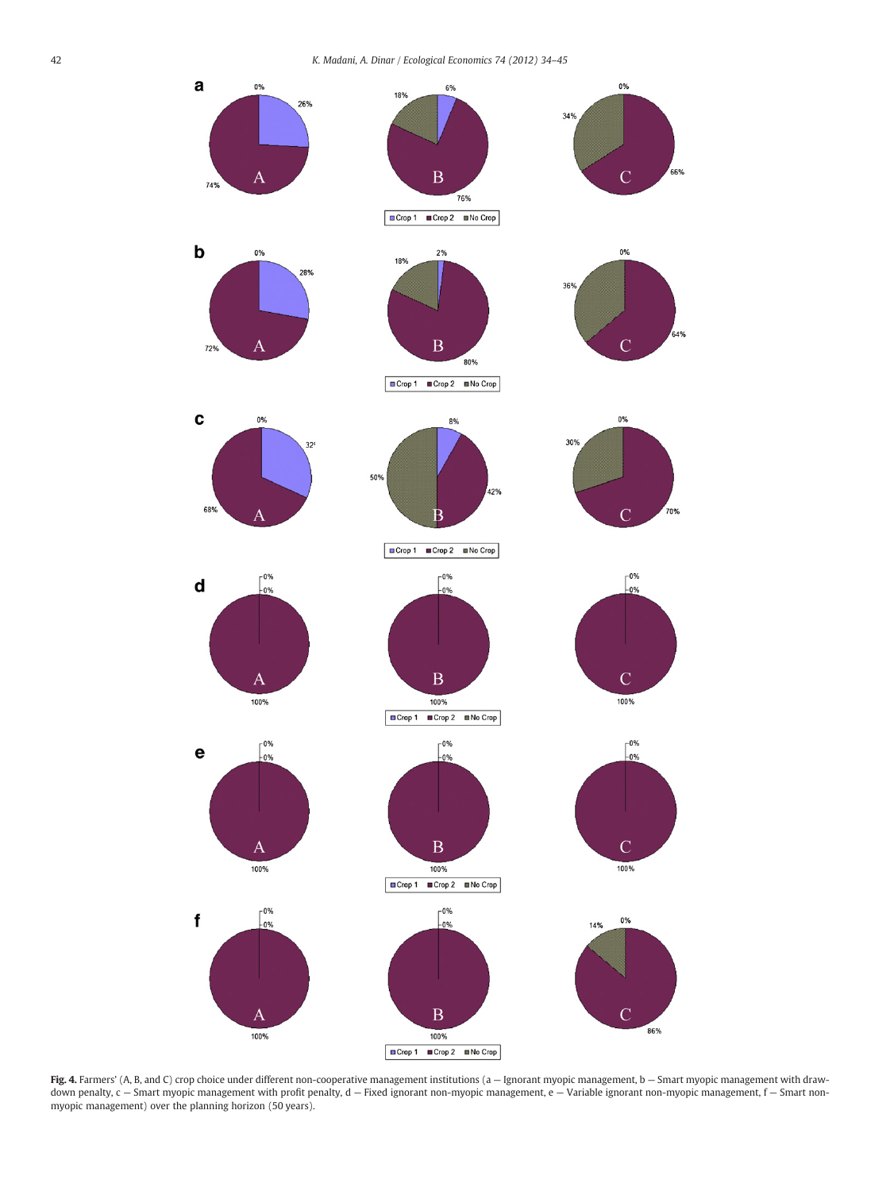<span id="page-8-0"></span>42 K. Madani, A. Dinar / Ecological Economics 74 (2012) 34–45



**Fig. 4.** Farmers' (A, B, and C) crop choice under different non-cooperative management institutions (a – Ignorant myopic management, b – Smart myopic management with draw-<br>down penalty, c – Smart myopic management with pr myopic management) over the planning horizon (50 years).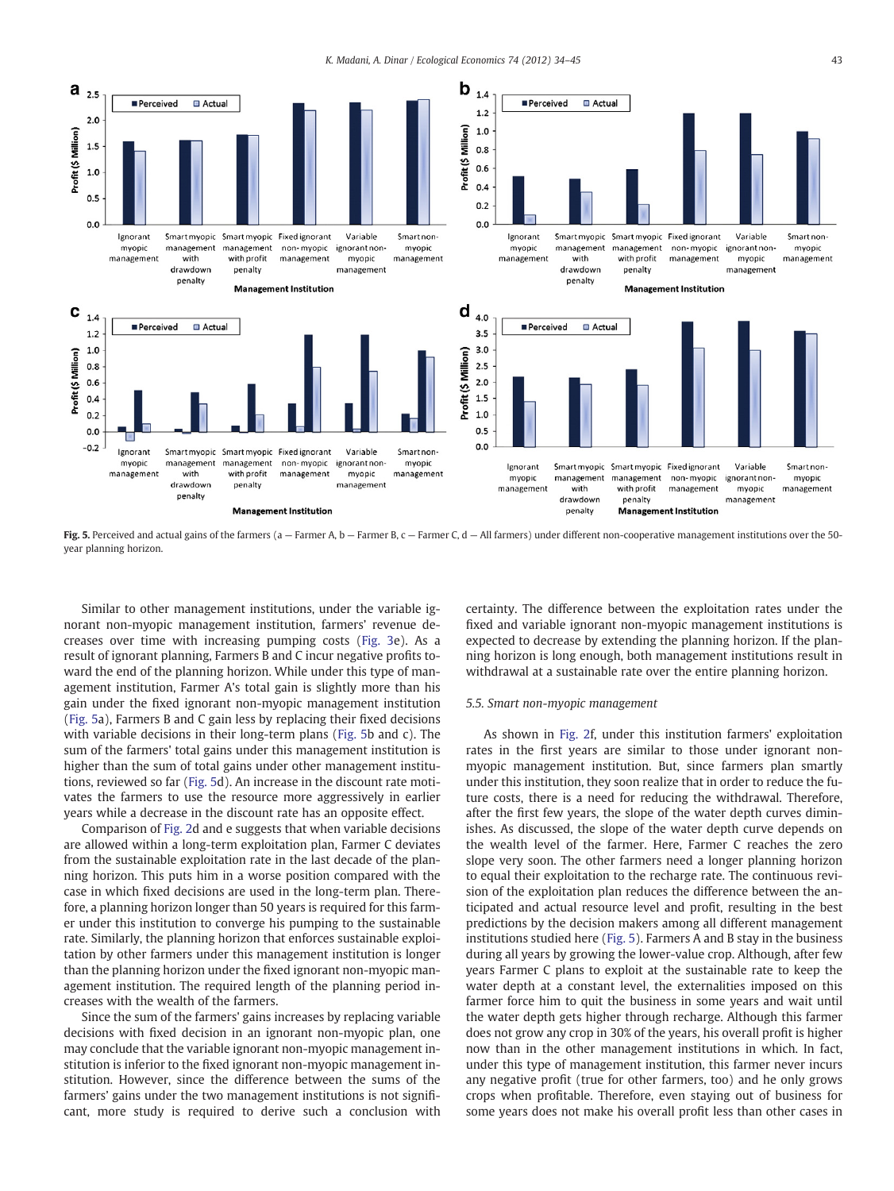K. Madani, A. Dinar / Ecological Economics 74 (2012) 34–45 43

<span id="page-9-0"></span>

Fig. 5. Perceived and actual gains of the farmers (a  $-$  Farmer A, b  $-$  Farmer B, c  $-$  Farmer C, d  $-$  All farmers) under different non-cooperative management institutions over the 50year planning horizon.

Similar to other management institutions, under the variable ignorant non-myopic management institution, farmers' revenue decreases over time with increasing pumping costs [\(Fig. 3](#page-7-0)e). As a result of ignorant planning, Farmers B and C incur negative profits toward the end of the planning horizon. While under this type of management institution, Farmer A's total gain is slightly more than his gain under the fixed ignorant non-myopic management institution (Fig. 5a), Farmers B and C gain less by replacing their fixed decisions with variable decisions in their long-term plans (Fig. 5b and c). The sum of the farmers' total gains under this management institution is higher than the sum of total gains under other management institutions, reviewed so far (Fig. 5d). An increase in the discount rate motivates the farmers to use the resource more aggressively in earlier years while a decrease in the discount rate has an opposite effect.

Comparison of [Fig. 2](#page-6-0)d and e suggests that when variable decisions are allowed within a long-term exploitation plan, Farmer C deviates from the sustainable exploitation rate in the last decade of the planning horizon. This puts him in a worse position compared with the case in which fixed decisions are used in the long-term plan. Therefore, a planning horizon longer than 50 years is required for this farmer under this institution to converge his pumping to the sustainable rate. Similarly, the planning horizon that enforces sustainable exploitation by other farmers under this management institution is longer than the planning horizon under the fixed ignorant non-myopic management institution. The required length of the planning period increases with the wealth of the farmers.

Since the sum of the farmers' gains increases by replacing variable decisions with fixed decision in an ignorant non-myopic plan, one may conclude that the variable ignorant non-myopic management institution is inferior to the fixed ignorant non-myopic management institution. However, since the difference between the sums of the farmers' gains under the two management institutions is not significant, more study is required to derive such a conclusion with certainty. The difference between the exploitation rates under the fixed and variable ignorant non-myopic management institutions is expected to decrease by extending the planning horizon. If the planning horizon is long enough, both management institutions result in withdrawal at a sustainable rate over the entire planning horizon.

#### 5.5. Smart non-myopic management

As shown in [Fig. 2](#page-6-0)f, under this institution farmers' exploitation rates in the first years are similar to those under ignorant nonmyopic management institution. But, since farmers plan smartly under this institution, they soon realize that in order to reduce the future costs, there is a need for reducing the withdrawal. Therefore, after the first few years, the slope of the water depth curves diminishes. As discussed, the slope of the water depth curve depends on the wealth level of the farmer. Here, Farmer C reaches the zero slope very soon. The other farmers need a longer planning horizon to equal their exploitation to the recharge rate. The continuous revision of the exploitation plan reduces the difference between the anticipated and actual resource level and profit, resulting in the best predictions by the decision makers among all different management institutions studied here (Fig. 5). Farmers A and B stay in the business during all years by growing the lower-value crop. Although, after few years Farmer C plans to exploit at the sustainable rate to keep the water depth at a constant level, the externalities imposed on this farmer force him to quit the business in some years and wait until the water depth gets higher through recharge. Although this farmer does not grow any crop in 30% of the years, his overall profit is higher now than in the other management institutions in which. In fact, under this type of management institution, this farmer never incurs any negative profit (true for other farmers, too) and he only grows crops when profitable. Therefore, even staying out of business for some years does not make his overall profit less than other cases in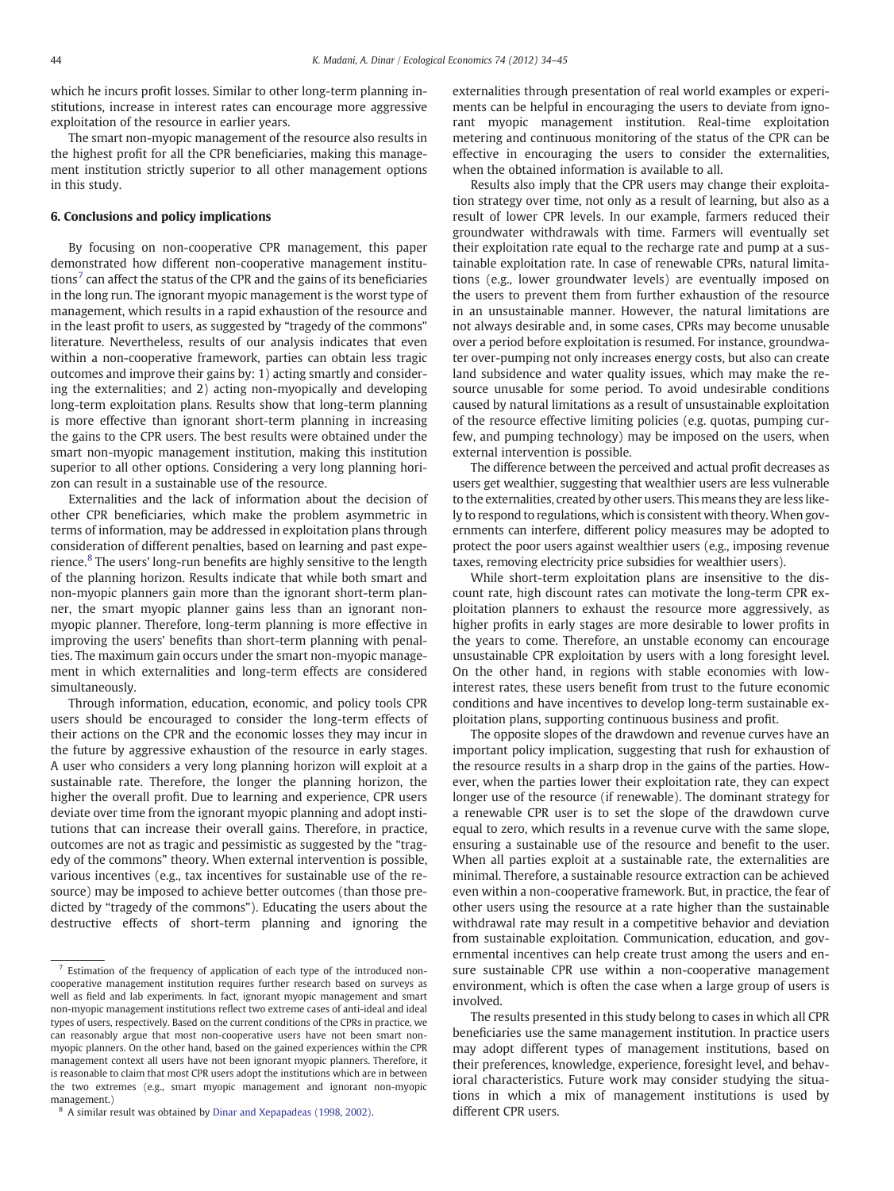which he incurs profit losses. Similar to other long-term planning institutions, increase in interest rates can encourage more aggressive exploitation of the resource in earlier years.

The smart non-myopic management of the resource also results in the highest profit for all the CPR beneficiaries, making this management institution strictly superior to all other management options in this study.

#### 6. Conclusions and policy implications

By focusing on non-cooperative CPR management, this paper demonstrated how different non-cooperative management institutions<sup>7</sup> can affect the status of the CPR and the gains of its beneficiaries in the long run. The ignorant myopic management is the worst type of management, which results in a rapid exhaustion of the resource and in the least profit to users, as suggested by "tragedy of the commons" literature. Nevertheless, results of our analysis indicates that even within a non-cooperative framework, parties can obtain less tragic outcomes and improve their gains by: 1) acting smartly and considering the externalities; and 2) acting non-myopically and developing long-term exploitation plans. Results show that long-term planning is more effective than ignorant short-term planning in increasing the gains to the CPR users. The best results were obtained under the smart non-myopic management institution, making this institution superior to all other options. Considering a very long planning horizon can result in a sustainable use of the resource.

Externalities and the lack of information about the decision of other CPR beneficiaries, which make the problem asymmetric in terms of information, may be addressed in exploitation plans through consideration of different penalties, based on learning and past experience.<sup>8</sup> The users' long-run benefits are highly sensitive to the length of the planning horizon. Results indicate that while both smart and non-myopic planners gain more than the ignorant short-term planner, the smart myopic planner gains less than an ignorant nonmyopic planner. Therefore, long-term planning is more effective in improving the users' benefits than short-term planning with penalties. The maximum gain occurs under the smart non-myopic management in which externalities and long-term effects are considered simultaneously.

Through information, education, economic, and policy tools CPR users should be encouraged to consider the long-term effects of their actions on the CPR and the economic losses they may incur in the future by aggressive exhaustion of the resource in early stages. A user who considers a very long planning horizon will exploit at a sustainable rate. Therefore, the longer the planning horizon, the higher the overall profit. Due to learning and experience, CPR users deviate over time from the ignorant myopic planning and adopt institutions that can increase their overall gains. Therefore, in practice, outcomes are not as tragic and pessimistic as suggested by the "tragedy of the commons" theory. When external intervention is possible, various incentives (e.g., tax incentives for sustainable use of the resource) may be imposed to achieve better outcomes (than those predicted by "tragedy of the commons"). Educating the users about the destructive effects of short-term planning and ignoring the

externalities through presentation of real world examples or experiments can be helpful in encouraging the users to deviate from ignorant myopic management institution. Real-time exploitation metering and continuous monitoring of the status of the CPR can be effective in encouraging the users to consider the externalities, when the obtained information is available to all.

Results also imply that the CPR users may change their exploitation strategy over time, not only as a result of learning, but also as a result of lower CPR levels. In our example, farmers reduced their groundwater withdrawals with time. Farmers will eventually set their exploitation rate equal to the recharge rate and pump at a sustainable exploitation rate. In case of renewable CPRs, natural limitations (e.g., lower groundwater levels) are eventually imposed on the users to prevent them from further exhaustion of the resource in an unsustainable manner. However, the natural limitations are not always desirable and, in some cases, CPRs may become unusable over a period before exploitation is resumed. For instance, groundwater over-pumping not only increases energy costs, but also can create land subsidence and water quality issues, which may make the resource unusable for some period. To avoid undesirable conditions caused by natural limitations as a result of unsustainable exploitation of the resource effective limiting policies (e.g. quotas, pumping curfew, and pumping technology) may be imposed on the users, when external intervention is possible.

The difference between the perceived and actual profit decreases as users get wealthier, suggesting that wealthier users are less vulnerable to the externalities, created by other users. This means they are less likely to respond to regulations, which is consistent with theory. When governments can interfere, different policy measures may be adopted to protect the poor users against wealthier users (e.g., imposing revenue taxes, removing electricity price subsidies for wealthier users).

While short-term exploitation plans are insensitive to the discount rate, high discount rates can motivate the long-term CPR exploitation planners to exhaust the resource more aggressively, as higher profits in early stages are more desirable to lower profits in the years to come. Therefore, an unstable economy can encourage unsustainable CPR exploitation by users with a long foresight level. On the other hand, in regions with stable economies with lowinterest rates, these users benefit from trust to the future economic conditions and have incentives to develop long-term sustainable exploitation plans, supporting continuous business and profit.

The opposite slopes of the drawdown and revenue curves have an important policy implication, suggesting that rush for exhaustion of the resource results in a sharp drop in the gains of the parties. However, when the parties lower their exploitation rate, they can expect longer use of the resource (if renewable). The dominant strategy for a renewable CPR user is to set the slope of the drawdown curve equal to zero, which results in a revenue curve with the same slope, ensuring a sustainable use of the resource and benefit to the user. When all parties exploit at a sustainable rate, the externalities are minimal. Therefore, a sustainable resource extraction can be achieved even within a non-cooperative framework. But, in practice, the fear of other users using the resource at a rate higher than the sustainable withdrawal rate may result in a competitive behavior and deviation from sustainable exploitation. Communication, education, and governmental incentives can help create trust among the users and ensure sustainable CPR use within a non-cooperative management environment, which is often the case when a large group of users is involved.

The results presented in this study belong to cases in which all CPR beneficiaries use the same management institution. In practice users may adopt different types of management institutions, based on their preferences, knowledge, experience, foresight level, and behavioral characteristics. Future work may consider studying the situations in which a mix of management institutions is used by different CPR users.

<sup>7</sup> Estimation of the frequency of application of each type of the introduced noncooperative management institution requires further research based on surveys as well as field and lab experiments. In fact, ignorant myopic management and smart non-myopic management institutions reflect two extreme cases of anti-ideal and ideal types of users, respectively. Based on the current conditions of the CPRs in practice, we can reasonably argue that most non-cooperative users have not been smart nonmyopic planners. On the other hand, based on the gained experiences within the CPR management context all users have not been ignorant myopic planners. Therefore, it is reasonable to claim that most CPR users adopt the institutions which are in between the two extremes (e.g., smart myopic management and ignorant non-myopic management.)

<sup>8</sup> A similar result was obtained by [Dinar and Xepapadeas \(1998, 2002\).](#page-11-0)